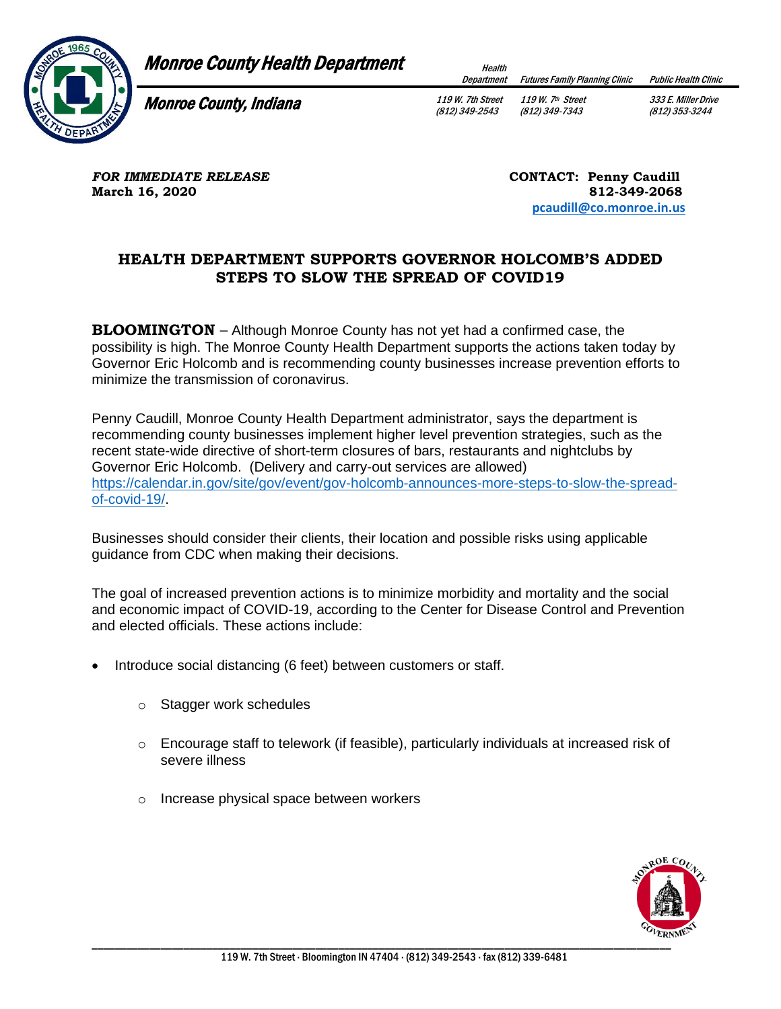

## **Monroe County Health Department**

Department Futures Family Planning Clinic Public Health Clinic

Monroe County, Indiana

119 W. 7th Street (812) 349-2543

119 W. 7th Street (812) 349-7343 333 E. Miller Drive (812) 353-3244

**FOR IMMEDIATE RELEASE** *CONTACT: Penny Caudill* **March 16, 2020** 812-349-2068

 **[pcaudill@co.monroe.in.us](mailto:pcaudill@co.monroe.in.us)** 

## **HEALTH DEPARTMENT SUPPORTS GOVERNOR HOLCOMB'S ADDED STEPS TO SLOW THE SPREAD OF COVID19**

**BLOOMINGTON** – Although Monroe County has not yet had a confirmed case, the possibility is high. The Monroe County Health Department supports the actions taken today by Governor Eric Holcomb and is recommending county businesses increase prevention efforts to minimize the transmission of coronavirus.

Penny Caudill, Monroe County Health Department administrator, says the department is recommending county businesses implement higher level prevention strategies, such as the recent state-wide directive of short-term closures of bars, restaurants and nightclubs by Governor Eric Holcomb. (Delivery and carry-out services are allowed) [https://calendar.in.gov/site/gov/event/gov-holcomb-announces-more-steps-to-slow-the-spread](https://calendar.in.gov/site/gov/event/gov-holcomb-announces-more-steps-to-slow-the-spread-of-covid-19/)[of-covid-19/.](https://calendar.in.gov/site/gov/event/gov-holcomb-announces-more-steps-to-slow-the-spread-of-covid-19/)

Businesses should consider their clients, their location and possible risks using applicable guidance from CDC when making their decisions.

The goal of increased prevention actions is to minimize morbidity and mortality and the social and economic impact of COVID-19, according to the Center for Disease Control and Prevention and elected officials. These actions include:

- Introduce social distancing (6 feet) between customers or staff.
	- o Stagger work schedules
	- $\circ$  Encourage staff to telework (if feasible), particularly individuals at increased risk of severe illness
	- o Increase physical space between workers